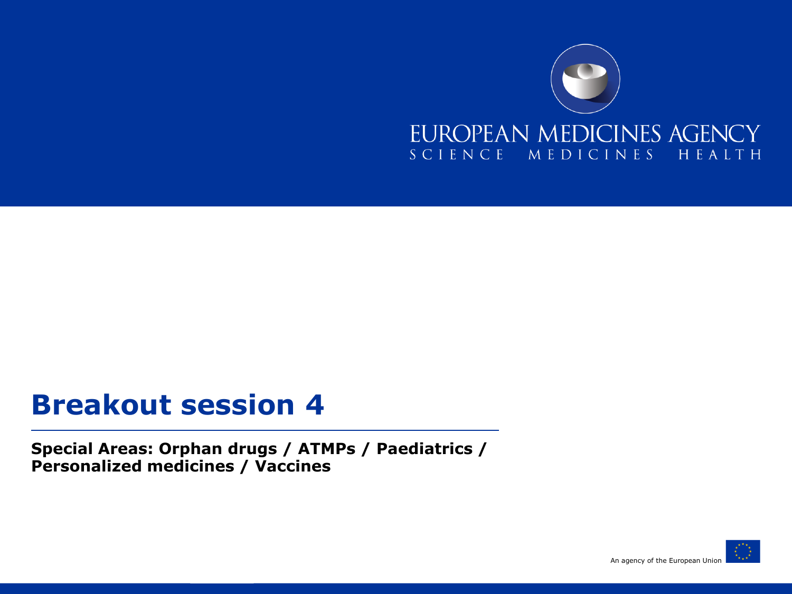

#### **Breakout session 4**

**Special Areas: Orphan drugs / ATMPs / Paediatrics / Personalized medicines / Vaccines**

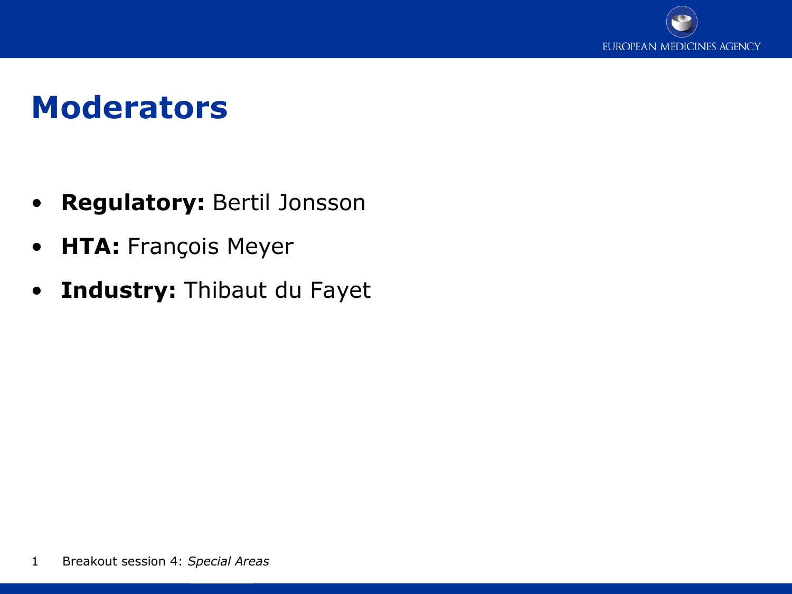

### **Moderators**

- **Regulatory:** Bertil Jonsson
- **HTA:** François Meyer
- **Industry:** Thibaut du Fayet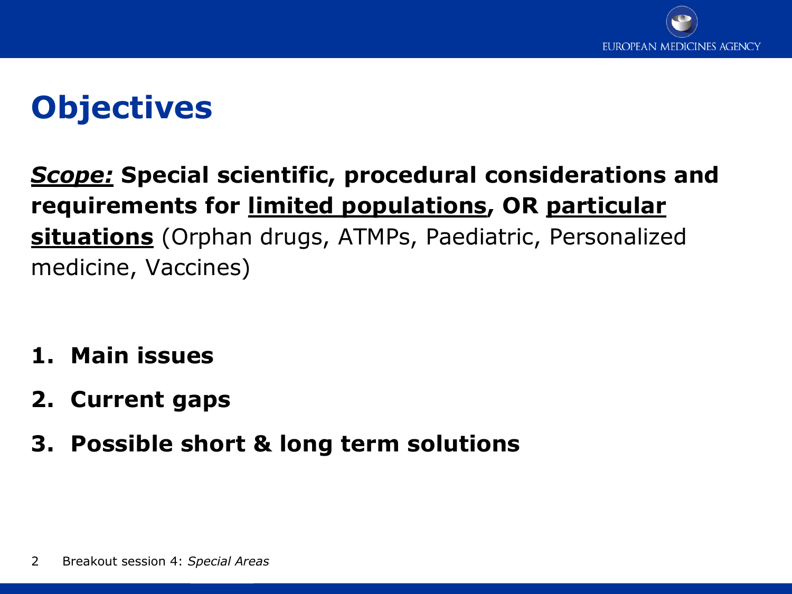

# **Objectives**

*Scope:* **Special scientific, procedural considerations and requirements for limited populations, OR particular situations** (Orphan drugs, ATMPs, Paediatric, Personalized medicine, Vaccines)

- **1. Main issues**
- **2. Current gaps**
- **3. Possible short & long term solutions**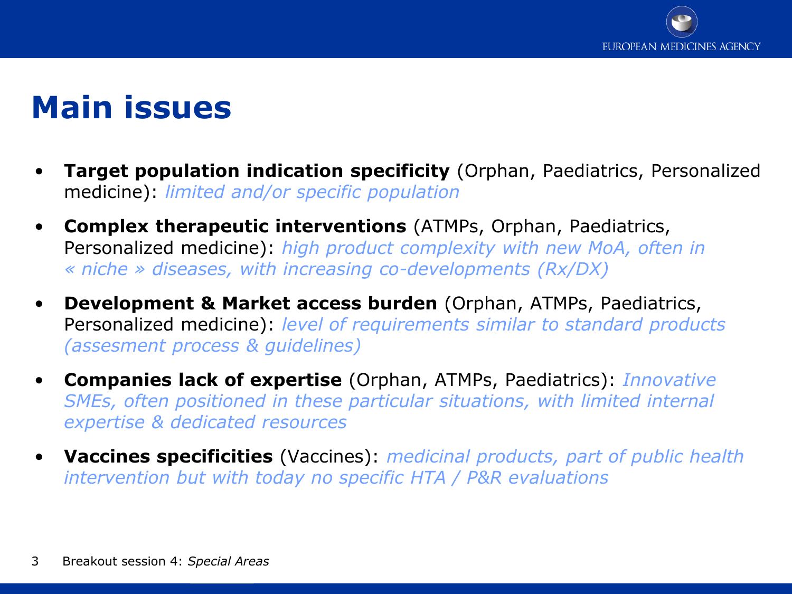

### **Main issues**

- **Target population indication specificity** (Orphan, Paediatrics, Personalized medicine): *limited and/or specific population*
- **Complex therapeutic interventions** (ATMPs, Orphan, Paediatrics, Personalized medicine): *high product complexity with new MoA, often in « niche » diseases, with increasing co-developments (Rx/DX)*
- **Development & Market access burden** (Orphan, ATMPs, Paediatrics, Personalized medicine): *level of requirements similar to standard products (assesment process & guidelines)*
- **Companies lack of expertise** (Orphan, ATMPs, Paediatrics): *Innovative SMEs, often positioned in these particular situations, with limited internal expertise & dedicated resources*
- **Vaccines specificities** (Vaccines): *medicinal products, part of public health intervention but with today no specific HTA / P&R evaluations*